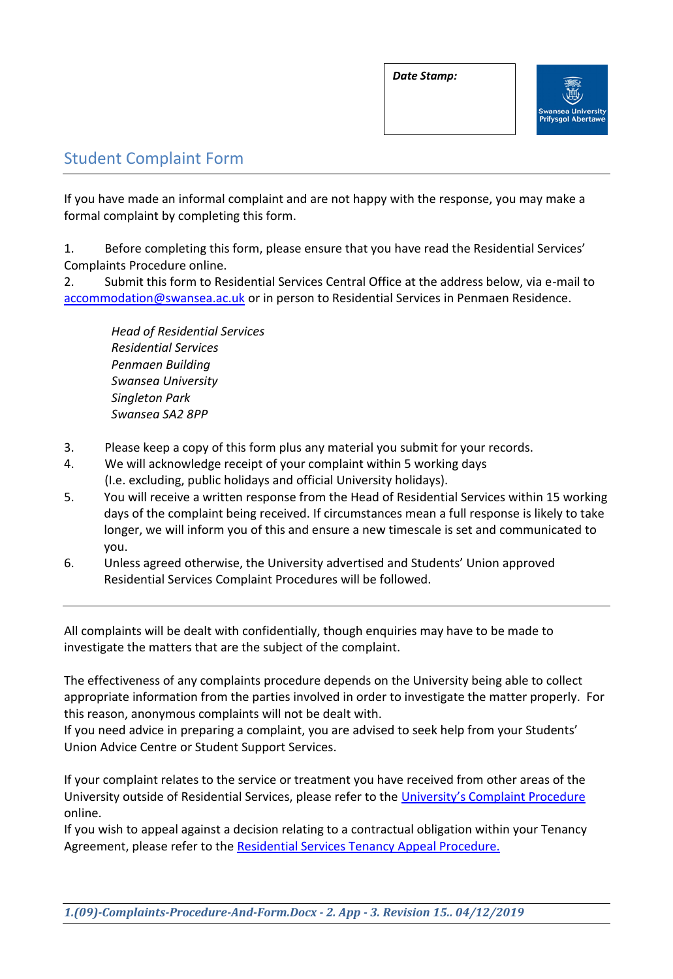

## Student Complaint Form

If you have made an informal complaint and are not happy with the response, you may make a formal complaint by completing this form.

1. Before completing this form, please ensure that you have read the Residential Services' Complaints Procedure online.

2. Submit this form to Residential Services Central Office at the address below, via e-mail to [accommodation@swansea.ac.uk](mailto:accommodation@swansea.ac.uk) or in person to Residential Services in Penmaen Residence.

 *Head of Residential Services Residential Services Penmaen Building Swansea University Singleton Park Swansea SA2 8PP*

- 3. Please keep a copy of this form plus any material you submit for your records.
- 4. We will acknowledge receipt of your complaint within 5 working days (I.e. excluding, public holidays and official University holidays).
- 5. You will receive a written response from the Head of Residential Services within 15 working days of the complaint being received. If circumstances mean a full response is likely to take longer, we will inform you of this and ensure a new timescale is set and communicated to you.
- 6. Unless agreed otherwise, the University advertised and Students' Union approved Residential Services Complaint Procedures will be followed.

All complaints will be dealt with confidentially, though enquiries may have to be made to investigate the matters that are the subject of the complaint.

The effectiveness of any complaints procedure depends on the University being able to collect appropriate information from the parties involved in order to investigate the matter properly. For this reason, anonymous complaints will not be dealt with.

If you need advice in preparing a complaint, you are advised to seek help from your Students' Union Advice Centre or Student Support Services.

If your complaint relates to the service or treatment you have received from other areas of the University outside of Residential Services, please refer to the [University's Complaint Procedure](http://www.swansea.ac.uk/registry/academicguide/conductandcomplaints/complaintsprocedure/6procedurefordealingwithastudentcomplaint/) online.

If you wish to appeal against a decision relating to a contractual obligation within your Tenancy Agreement, please refer to the [Residential Services Tenancy Appeal Procedure.](http://www.swansea.ac.uk/accommodation/residences/regulationsbrochures/)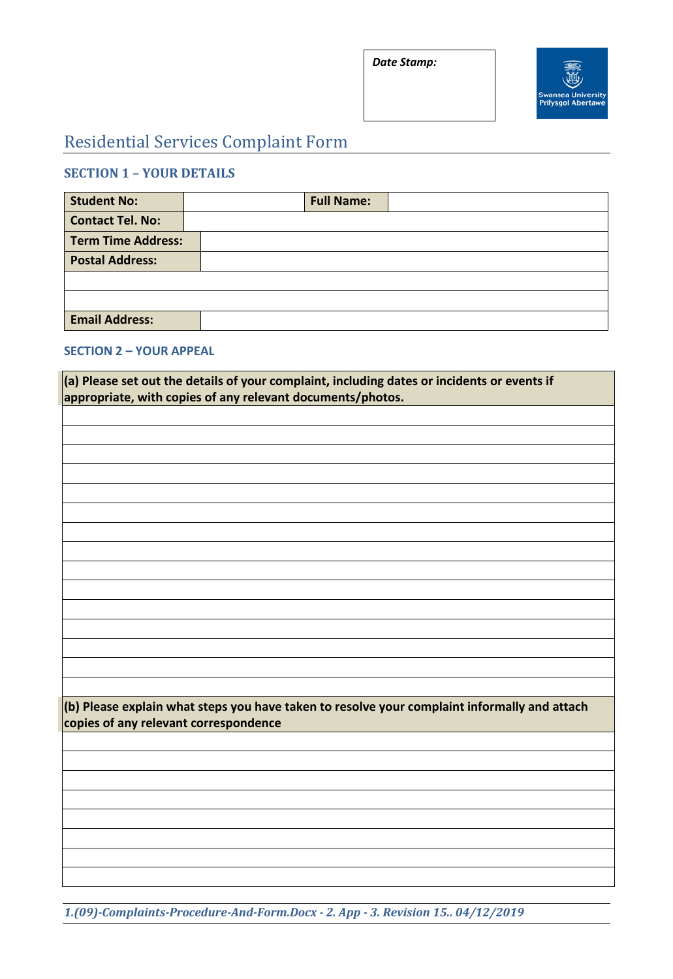*Date Stamp:*



# Residential Services Complaint Form

## **SECTION 1 – YOUR DETAILS**

| <b>Student No:</b>        | <b>Full Name:</b> |
|---------------------------|-------------------|
| <b>Contact Tel. No:</b>   |                   |
| <b>Term Time Address:</b> |                   |
| <b>Postal Address:</b>    |                   |
|                           |                   |
|                           |                   |
| <b>Email Address:</b>     |                   |

### **SECTION 2 – YOUR APPEAL**

| $\vert$ (a) Please set out the details of your complaint, including dates or incidents or events if<br>appropriate, with copies of any relevant documents/photos. |  |
|-------------------------------------------------------------------------------------------------------------------------------------------------------------------|--|
|                                                                                                                                                                   |  |
|                                                                                                                                                                   |  |
|                                                                                                                                                                   |  |
|                                                                                                                                                                   |  |
|                                                                                                                                                                   |  |
|                                                                                                                                                                   |  |
|                                                                                                                                                                   |  |
|                                                                                                                                                                   |  |
|                                                                                                                                                                   |  |
|                                                                                                                                                                   |  |
|                                                                                                                                                                   |  |
|                                                                                                                                                                   |  |
|                                                                                                                                                                   |  |
|                                                                                                                                                                   |  |
|                                                                                                                                                                   |  |
|                                                                                                                                                                   |  |
| (b) Please explain what steps you have taken to resolve your complaint informally and attach<br>copies of any relevant correspondence                             |  |
|                                                                                                                                                                   |  |
|                                                                                                                                                                   |  |
|                                                                                                                                                                   |  |
|                                                                                                                                                                   |  |
|                                                                                                                                                                   |  |
|                                                                                                                                                                   |  |
|                                                                                                                                                                   |  |
|                                                                                                                                                                   |  |
|                                                                                                                                                                   |  |